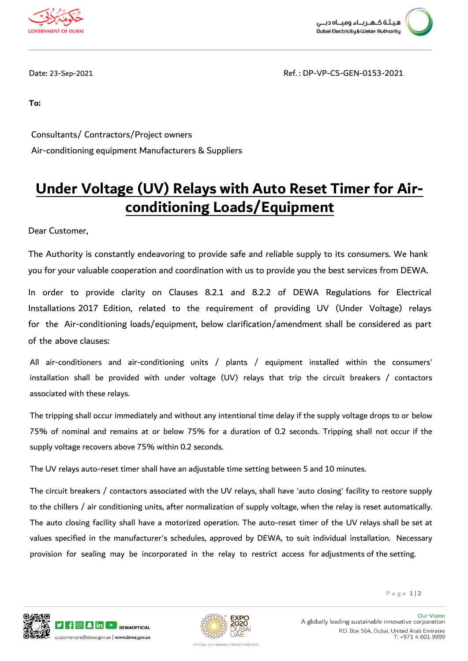



Date: 23-Sep-2021 Ref. : DP-VP-CS-GEN-0153-2021

**To:**

 Consultants/ Contractors/Project owners Air-conditioning equipment Manufacturers & Suppliers

## **Under Voltage (UV) Relays with Auto Reset Timer for Airconditioning Loads/Equipment**

Dear Customer,

The Authority is constantly endeavoring to provide safe and reliable supply to its consumers. We hank you for your valuable cooperation and coordination with us to provide you the best services from DEWA.

In order to provide clarity on Clauses 8.2.1 and 8.2.2 of DEWA Regulations for Electrical Installations 2017 Edition, related to the requirement of providing UV (Under Voltage) relays for the Air-conditioning loads/equipment, below clarification/amendment shall be considered as part of the above clauses:

All air-conditioners and air-conditioning units / plants / equipment installed within the consumers' installation shall be provided with under voltage (UV) relays that trip the circuit breakers / contactors associated with these relays.

The tripping shall occur immediately and without any intentional time delay if the supply voltage drops to or below 75% of nominal and remains at or below 75% for a duration of 0.2 seconds. Tripping shall not occur if the supply voltage recovers above 75% within 0.2 seconds.

The UV relays auto-reset timer shall have an adjustable time setting between 5 and 10 minutes.

The circuit breakers / contactors associated with the UV relays, shall have 'auto closing' facility to restore supply to the chillers / air conditioning units, after normalization of supply voltage, when the relay is reset automatically. The auto closing facility shall have a motorized operation. The auto-reset timer of the UV relays shall be set at values specified in the manufacturer's schedules, approved by DEWA, to suit individual installation. Necessary provision for sealing may be incorporated in the relay to restrict access for adjustments of the setting.

P a g e 1 | 2